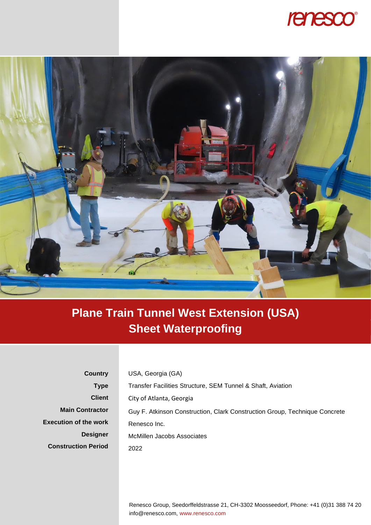



## **Plane Train Tunnel West Extension (USA) Sheet Waterproofing**

**Country Type Client Main Contractor Execution of the work Designer Construction Period** USA, Georgia (GA) Transfer Facilities Structure, SEM Tunnel & Shaft, Aviation City of Atlanta, Georgia Guy F. Atkinson Construction, Clark Construction Group, Technique Concrete Renesco Inc. McMillen Jacobs Associates 2022